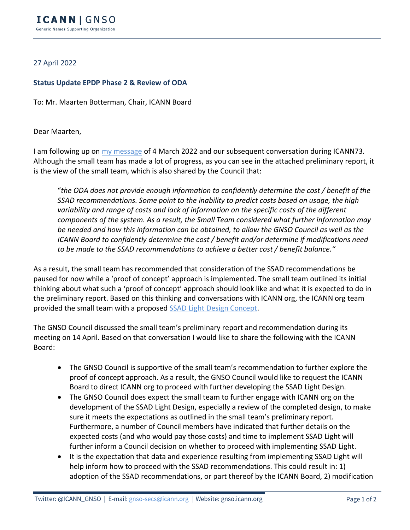## 27 April 2022

## **Status Update EPDP Phase 2 & Review of ODA**

To: Mr. Maarten Botterman, Chair, ICANN Board

## Dear Maarten,

I am following up on [my message](https://gnso.icann.org/sites/default/files/policy/2022/correspondence/fouquart-to-botterman-04mar22-en.pdf) of 4 March 2022 and our subsequent conversation during ICANN73. Although the small team has made a lot of progress, as you can see in the attached preliminary report, it is the view of the small team, which is also shared by the Council that:

"*the ODA does not provide enough information to confidently determine the cost / benefit of the SSAD recommendations. Some point to the inability to predict costs based on usage, the high variability and range of costs and lack of information on the specific costs of the different components of the system. As a result, the Small Team considered what further information may be needed and how this information can be obtained, to allow the GNSO Council as well as the ICANN Board to confidently determine the cost / benefit and/or determine if modifications need to be made to the SSAD recommendations to achieve a better cost / benefit balance."*

As a result, the small team has recommended that consideration of the SSAD recommendations be paused for now while a 'proof of concept' approach is implemented. The small team outlined its initial thinking about what such a 'proof of concept' approach should look like and what it is expected to do in the preliminary report. Based on this thinking and conversations with ICANN org, the ICANN org team provided the small team with a proposed [SSAD Light Design Concept.](https://mm.icann.org/pipermail/gnso-epdpp2-smallteam/attachments/20220406/b1df8d0f/SSADLightConceptNote-0001.docx)

The GNSO Council discussed the small team's preliminary report and recommendation during its meeting on 14 April. Based on that conversation I would like to share the following with the ICANN Board:

- The GNSO Council is supportive of the small team's recommendation to further explore the proof of concept approach. As a result, the GNSO Council would like to request the ICANN Board to direct ICANN org to proceed with further developing the SSAD Light Design.
- The GNSO Council does expect the small team to further engage with ICANN org on the development of the SSAD Light Design, especially a review of the completed design, to make sure it meets the expectations as outlined in the small team's preliminary report. Furthermore, a number of Council members have indicated that further details on the expected costs (and who would pay those costs) and time to implement SSAD Light will further inform a Council decision on whether to proceed with implementing SSAD Light.
- It is the expectation that data and experience resulting from implementing SSAD Light will help inform how to proceed with the SSAD recommendations. This could result in: 1) adoption of the SSAD recommendations, or part thereof by the ICANN Board, 2) modification